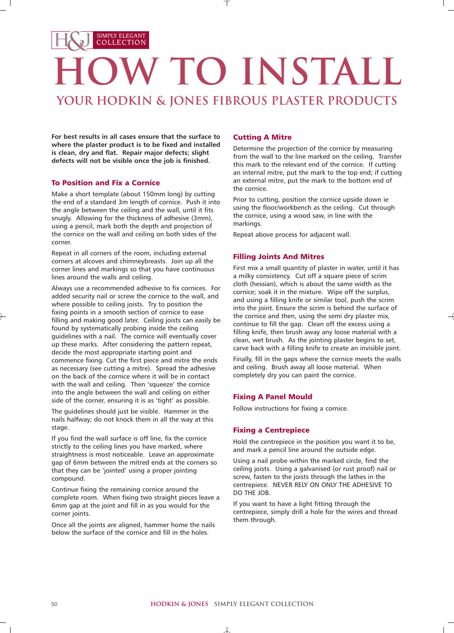# SIMPLY ELEGANT COLLECTION **JW TO INSTALL your Hodkin & Jones Fibrous Plaster Products**

**For best results in all cases ensure that the surface to where the plaster product is to be fixed and installed is clean, dry and flat. Repair major defects; slight defects will not be visible once the job is finished.**

# To Position and Fix a Cornice

Make a short template (about 150mm long) by cutting the end of a standard 3m length of cornice. Push it into the angle between the ceiling and the wall, until it fits snugly. Allowing for the thickness of adhesive (3mm), using a pencil, mark both the depth and projection of the cornice on the wall and ceiling on both sides of the corner.

Repeat in all corners of the room, including external corners at alcoves and chimneybreasts. Join up all the corner lines and markings so that you have continuous lines around the walls and ceiling.

Always use a recommended adhesive to fix cornices. For added security nail or screw the cornice to the wall, and where possible to ceiling joists. Try to position the fixing points in a smooth section of cornice to ease filling and making good later. Ceiling joists can easily be found by systematically probing inside the ceiling guidelines with a nail. The cornice will eventually cover up these marks. After considering the pattern repeat, decide the most appropriate starting point and commence fixing. Cut the first piece and mitre the ends as necessary (see cutting a mitre). Spread the adhesive on the back of the cornice where it will be in contact with the wall and ceiling. Then 'squeeze' the cornice into the angle between the wall and ceiling on either side of the corner, ensuring it is as 'tight' as possible.

The guidelines should just be visible. Hammer in the nails halfway; do not knock them in all the way at this stage.

If you find the wall surface is off line, fix the cornice strictly to the ceiling lines you have marked, where straightness is most noticeable. Leave an approximate gap of 6mm between the mitred ends at the corners so that they can be 'jointed' using a proper jointing compound.

Continue fixing the remaining cornice around the complete room. When fixing two straight pieces leave a 6mm gap at the joint and fill in as you would for the corner joints.

Once all the joints are aligned, hammer home the nails below the surface of the cornice and fill in the holes.

## Cutting A Mitre

Determine the projection of the cornice by measuring from the wall to the line marked on the ceiling. Transfer this mark to the relevant end of the cornice. If cutting an internal mitre, put the mark to the top end; if cutting an external mitre, put the mark to the bottom end of the cornice.

Prior to cutting, position the cornice upside down ie using the floor/workbench as the ceiling. Cut through the cornice, using a wood saw, in line with the markings.

Repeat above process for adjacent wall.

## Filling Joints And Mitres

First mix a small quantity of plaster in water, until it has a milky consistency. Cut off a square piece of scrim cloth (hessian), which is about the same width as the cornice; soak it in the mixture. Wipe off the surplus, and using a filling knife or similar tool, push the scrim into the joint. Ensure the scrim is behind the surface of the cornice and then, using the semi dry plaster mix, continue to fill the gap. Clean off the excess using a filling knife, then brush away any loose material with a clean, wet brush. As the jointing plaster begins to set, carve back with a filling knife to create an invisible joint.

Finally, fill in the gaps where the cornice meets the walls and ceiling. Brush away all loose material. When completely dry you can paint the cornice.

## Fixing A Panel Mould

Follow instructions for fixing a cornice.

#### Fixing a Centrepiece

Hold the centrepiece in the position you want it to be, and mark a pencil line around the outside edge.

Using a nail probe within the marked circle, find the ceiling joists. Using a galvanised (or rust proof) nail or screw, fasten to the joists through the lathes in the centrepiece. NEVER RELY ON ONLY THE ADHESIVE TO DO THE JOB.

If you want to have a light fitting through the centrepiece, simply drill a hole for the wires and thread them through.

丄